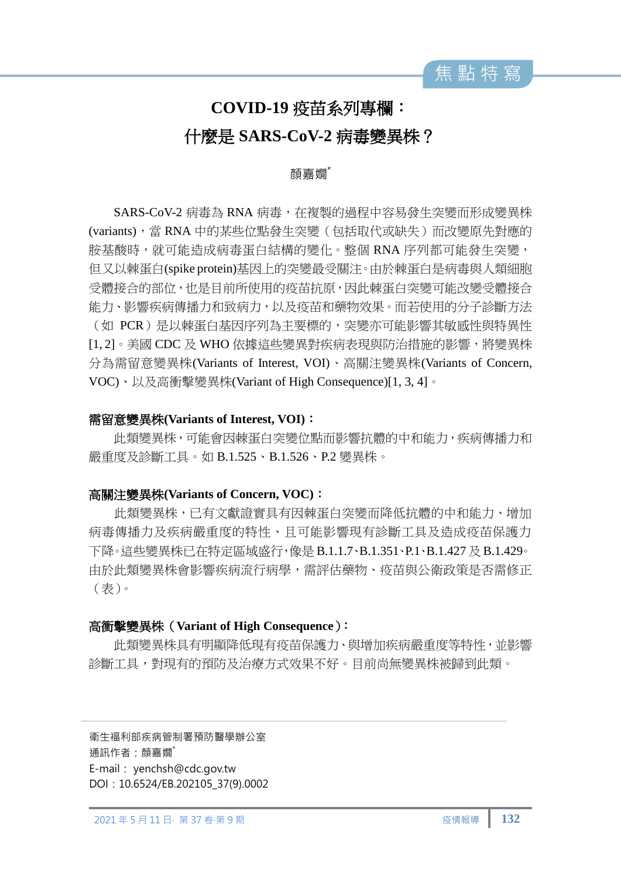

# **COVID-19** 疫苗系列專欄: 什麼是 **SARS-CoV-2** 病毒變異株?

### 顏嘉嫺\*

SARS-CoV-2 病毒為 RNA 病毒, 在複製的過程中容易發生突變而形成變異株 (variants),當 RNA 中的某些位點發生突變(包括取代或缺失)而改變原先對應的 胺基酸時,就可能造成病毒蛋白結構的變化。整個 RNA 序列都可能發生突變, 但又以棘蛋白(spike protein)基因上的突變最受關注。由於棘蛋白是病毒與人類細胞 受體接合的部位,也是目前所使用的疫苗抗原,因此棘蛋白突變可能改變受體接合 能力、影響疾病傳播力和致病力,以及疫苗和藥物效果。而若使用的分子診斷方法 (如 PCR)是以棘蛋白基因序列為主要標的,突變亦可能影響其敏感性與特異性 [1,2]。美國 CDC 及 WHO 依據這些變異對疾病表現與防治措施的影響,將變異株 分為需留意變異株(Variants of Interest, VOI)、高關注變異株(Variants of Concern, VOC)、以及高衝擊變異株(Variant of High Consequence)[1, 3, 4]。

#### 需留意變異株**(Variants of Interest, VOI)**:

此類變異株,可能會因棘蛋白突變位點而影響抗體的中和能力,疾病傳播力和 嚴重度及診斷工具。如 B.1.525、B.1.526、P.2 變異株。

#### 高關注變異株**(Variants of Concern, VOC)**:

此類變異株,已有文獻證實具有因棘蛋白突變而降低抗體的中和能力、增加 病毒傳播力及疾病嚴重度的特性、且可能影響現有診斷工具及造成疫苗保護力 下降。這些變異株已在特定區域盛行,像是 B.1.1.7、B.1.351、P.1、B.1.427 及 B.1.429。 由於此類變異株會影響疾病流行病學,需評估藥物、疫苗與公衛政策是否需修正 (表)。

## 高衝擊變異株(**Variant of High Consequence**):

此類變異株具有明顯降低現有疫苗保護力、與增加疾病嚴重度等特性,並影響 診斷工具,對現有的預防及治療方式效果不好。目前尚無變異株被歸到此類。

衛生福利部疾病管制署預防醫學辦公室 通訊作者:顏嘉嫺\* E-mail: [yenchsh@cdc.gov.tw](mailto:yenchsh@cdc.gov.tw) DOI: 10.6524/EB.202105\_37(9).0002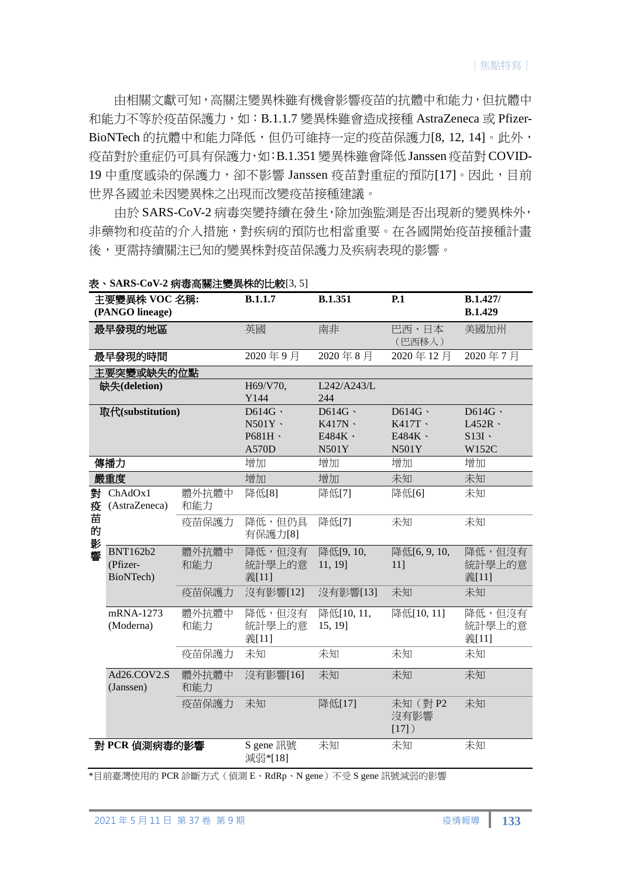由相關文獻可知,高關注變異株雖有機會影響疫苗的抗體中和能力,但抗體中 和能力不等於疫苗保護力,如:B.1.1.7 變異株雖會造成接種 AstraZeneca 或 Pfizer-BioNTech 的抗體中和能力降低,但仍可維持一定的疫苗保護力[8, 12, 14]。此外, 疫苗對於重症仍可具有保護力,如:B.1.351 變異株雖會降低 Janssen 疫苗對 COVID-19 中重度感染的保護力, 卻不影響 Janssen 疫苗對重症的預防[17]。因此, 目前 世界各國並未因變異株之出現而改變疫苗接種建議。

由於 SARS-CoV-2 病毒突變持續在發生,除加強監測是否出現新的變異株外, 非藥物和疫苗的介入措施,對疾病的預防也相當重要。在各國開始疫苗接種計畫 後,更需持續關注已知的變異株對疫苗保護力及疾病表現的影響。

| 主要變異株 VOC 名稱:<br>(PANGO lineage) |                                          | <b>B.1.1.7</b> | <b>B.1.351</b>            | P.1                   | B.1.427/<br><b>B.1.429</b> |                           |
|----------------------------------|------------------------------------------|----------------|---------------------------|-----------------------|----------------------------|---------------------------|
| 最早發現的地區                          |                                          | 英國             | 南非                        | 巴西、日本<br>(巴西移入)       | 美國加州                       |                           |
| 最早發現的時間                          |                                          |                | 2020年9月                   | 2020年8月               | 2020年12月                   | 2020年7月                   |
|                                  | 主要突變或缺失的位點                               |                |                           |                       |                            |                           |
| 缺失(deletion)                     |                                          |                | H69/V70,                  | L242/A243/L           |                            |                           |
|                                  |                                          |                | Y144                      | 244                   |                            |                           |
| 取代(substitution)                 |                                          |                | D614G                     | D614G                 | D614G                      | D614G                     |
|                                  |                                          |                | N501Y                     | K417N                 | K417T ·                    | $L452R \cdot$             |
|                                  |                                          |                | P681H \                   | E484K \               | E484K \                    | $S13I \cdot$              |
|                                  |                                          |                | A570D                     | N501Y                 | N501Y                      | W152C                     |
| 傳播力                              |                                          |                | 增加                        | 增加                    | 增加                         | 增加                        |
| 嚴重度                              |                                          |                | 增加                        | 增加                    | 未知                         | 未知                        |
| 對<br>疫<br>苗<br>的<br>影<br>響       | ChAdOx1<br>(AstraZeneca)                 | 體外抗體中<br>和能力   | 降低[8]                     | 降低[7]                 | 降低[6]                      | 未知                        |
|                                  |                                          | 疫苗保護力          | 降低,但仍具<br>有保護力[8]         | 降低[7]                 | 未知                         | 未知                        |
|                                  | <b>BNT162b2</b><br>(Pfizer-<br>BioNTech) | 體外抗體中<br>和能力   | 降低,但沒有<br>統計學上的意<br>義[11] | 降低[9,10,<br>11, 19]   | 降低[6,9,10,<br>$11$ ]       | 降低,但沒有<br>統計學上的意<br>義[11] |
|                                  |                                          | 疫苗保護力          | 沒有影響[12]                  | 沒有影響[13]              | 未知                         | 未知                        |
|                                  | mRNA-1273<br>(Moderna)                   | 體外抗體中<br>和能力   | 降低,但沒有<br>統計學上的意<br>義[11] | 降低[10, 11,<br>15, 19] | 降低[10, 11]                 | 降低,但沒有<br>統計學上的意<br>義[11] |
|                                  |                                          | 疫苗保護力          | 未知                        | 未知                    | 未知                         | 未知                        |
|                                  | Ad26.COV2.S<br>(Janssen)                 | 體外抗體中<br>和能力   | 沒有影響[16]                  | 未知                    | 未知                         | 未知                        |
|                                  |                                          | 疫苗保護力          | 未知                        | 降低[17]                | 未知 (對 P2<br>沒有影響<br>[17]   | 未知                        |
| 對 PCR 偵測病毒的影響                    |                                          |                | S gene 訊號<br>減弱*[18]      | 未知                    | 未知                         | 未知                        |

表、**SARS-CoV-2** 病毒高關注變異株的比較[3, 5]

\*目前臺灣使用的 PCR 診斷方式(偵測 E、RdRp、N gene)不受 S gene 訊號減弱的影響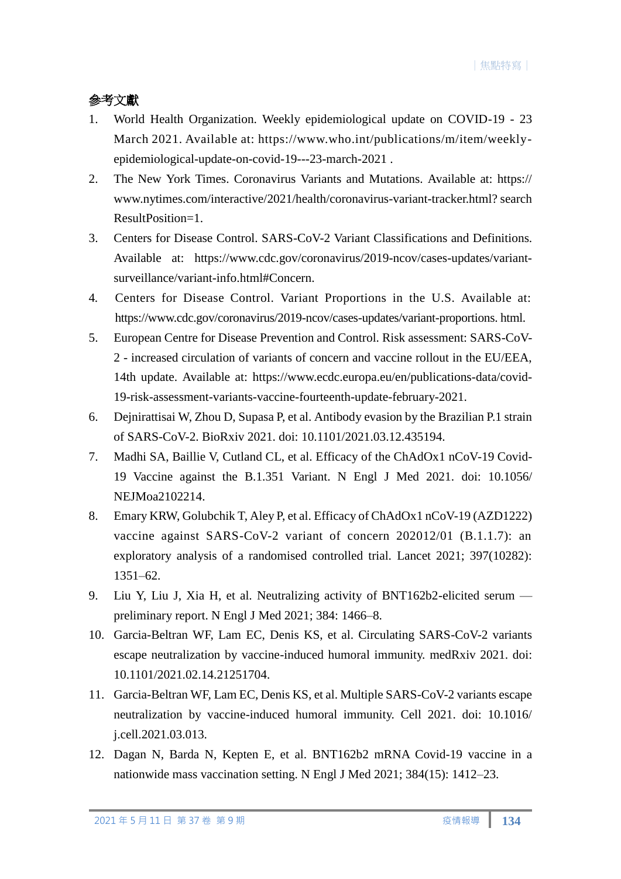# 參考文獻

- 1. World Health Organization. Weekly epidemiological update on COVID-19 23 March 2021. Available at: https://www.who.int/publications/m/item/weeklyepidemiological-update-on-covid-19---23-march-2021 .
- 2. The New York Times. Coronavirus Variants and Mutations. Available at: https:// [www.nytimes.com/interactive/2021/health/coronavirus-variant-tracker.html?](http://www.nytimes.com/interactive/2021/health/coronavirus-variant-tracker.html) search ResultPosition=1.
- 3. Centers for Disease Control. SARS-CoV-2 Variant Classifications and Definitions. Available at: https://www.cdc.gov/coronavirus/2019-ncov/cases-updates/variantsurveillance/variant-info.html#Concern.
- 4. Centers for Disease Control. Variant Proportions in the U.S. Available at: [https://www.cdc.gov/coronavirus/2019-ncov/cases-updates/variant-proportions.](https://www.cdc.gov/coronavirus/2019-ncov/cases-updates/variant-proportions) html.
- 5. European Centre for Disease Prevention and Control. Risk assessment: SARS-CoV-2 - increased circulation of variants of concern and vaccine rollout in the EU/EEA, 14th update. Available at: https://www.ecdc.europa.eu/en/publications-data/covid-19-risk-assessment-variants-vaccine-fourteenth-update-february-2021.
- 6. Dejnirattisai W, Zhou D, Supasa P, et al. Antibody evasion by the Brazilian P.1 strain of SARS-CoV-2. BioRxiv 2021. doi: 10.1101/2021.03.12.435194.
- 7. Madhi SA, Baillie V, Cutland CL, et al. Efficacy of the ChAdOx1 nCoV-19 Covid-19 Vaccine against the B.1.351 Variant. N Engl J Med 2021. doi: 10.1056/ NEJMoa2102214.
- 8. Emary KRW, Golubchik T, Aley P, et al. Efficacy of ChAdOx1 nCoV-19 (AZD1222) vaccine against SARS-CoV-2 variant of concern 202012/01 (B.1.1.7): an exploratory analysis of a randomised controlled trial. Lancet 2021; 397(10282): 1351–62.
- 9. Liu Y, Liu J, Xia H, et al. Neutralizing activity of BNT162b2-elicited serum preliminary report. N Engl J Med 2021; 384: 1466–8.
- 10. Garcia-Beltran WF, Lam EC, Denis KS, et al. Circulating SARS-CoV-2 variants escape neutralization by vaccine-induced humoral immunity. medRxiv 2021. doi: 10.1101/2021.02.14.21251704.
- 11. Garcia-Beltran WF, Lam EC, Denis KS, et al. Multiple SARS-CoV-2 variants escape neutralization by vaccine-induced humoral immunity. Cell 2021. doi: 10.1016/ j.cell.2021.03.013.
- 12. Dagan N, Barda N, Kepten E, et al. BNT162b2 mRNA Covid-19 vaccine in a nationwide mass vaccination setting. N Engl J Med 2021; 384(15): 1412–23.